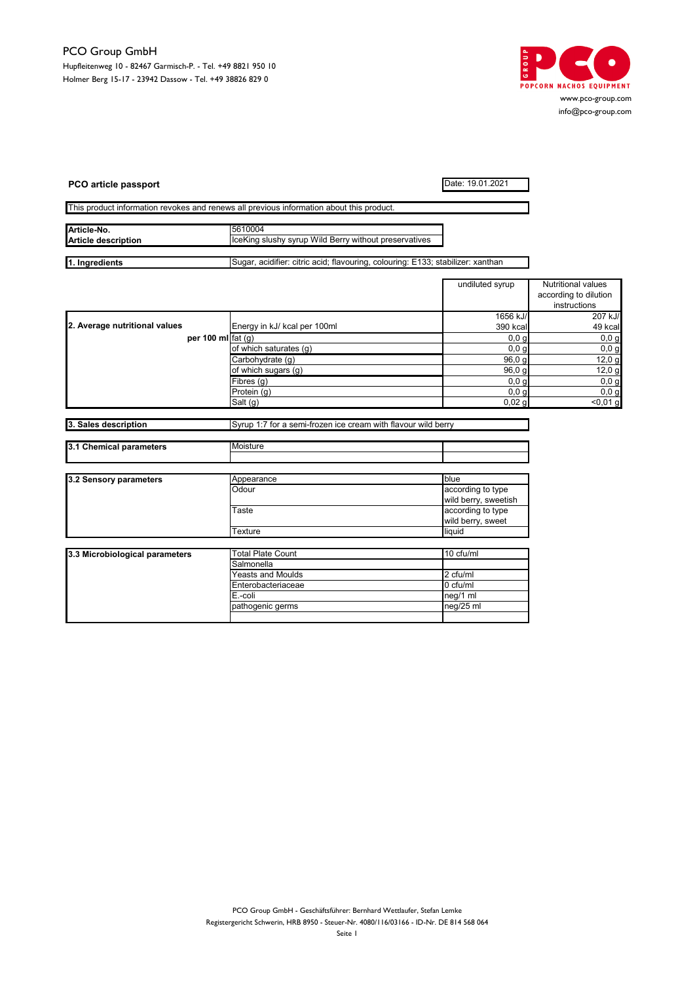

| PCO article passport                      |                                                                                          | Date: 19.01.2021                          |                                                             |
|-------------------------------------------|------------------------------------------------------------------------------------------|-------------------------------------------|-------------------------------------------------------------|
|                                           | This product information revokes and renews all previous information about this product. |                                           |                                                             |
| Article-No.<br><b>Article description</b> | 5610004<br>IceKing slushy syrup Wild Berry without preservatives                         |                                           |                                                             |
| 1. Ingredients                            | Sugar, acidifier: citric acid; flavouring, colouring: E133; stabilizer: xanthan          |                                           |                                                             |
|                                           |                                                                                          | undiluted syrup                           | Nutritional values<br>according to dilution<br>instructions |
|                                           |                                                                                          | 1656 kJ/                                  | 207 kJ                                                      |
| 2. Average nutritional values             | Energy in kJ/ kcal per 100ml                                                             | 390 kcal                                  | 49 kca                                                      |
| per 100 ml $fat(g)$                       |                                                                                          | 0,0,q                                     | 0,0c                                                        |
|                                           | of which saturates (g)                                                                   | 0,0,q                                     | 0,0c                                                        |
|                                           | Carbohydrate (q)                                                                         | 96,0q                                     | 12,0c                                                       |
|                                           | of which sugars (g)                                                                      | 96,0q                                     | 12,0g                                                       |
|                                           | Fibres $(q)$                                                                             | 0.0 <sub>q</sub>                          | 0,0c                                                        |
|                                           | Protein (g)                                                                              | 0,0,9                                     | 0,0c                                                        |
|                                           | Salt (g)                                                                                 | 0,02q                                     | $\sqrt{0,01}$ g                                             |
| 3. Sales description                      | Syrup 1:7 for a semi-frozen ice cream with flavour wild berry                            |                                           |                                                             |
| 3.1 Chemical parameters                   | Moisture                                                                                 |                                           |                                                             |
| 3.2 Sensory parameters                    | Appearance                                                                               | blue                                      |                                                             |
|                                           | Odour                                                                                    | according to type<br>wild berry, sweetish |                                                             |
|                                           | Taste                                                                                    | according to type<br>wild berry, sweet    |                                                             |
|                                           | Texture                                                                                  | liquid                                    |                                                             |
|                                           |                                                                                          |                                           |                                                             |
| 3.3 Microbiological parameters            | <b>Total Plate Count</b>                                                                 | 10 cfu/ml                                 |                                                             |
|                                           | Salmonella                                                                               |                                           |                                                             |
|                                           | <b>Yeasts and Moulds</b>                                                                 | 2 cfu/ml                                  |                                                             |
|                                           | Enterobacteriaceae                                                                       | 0 cfu/ml                                  |                                                             |
|                                           | E.-coli                                                                                  | neg/1 ml                                  |                                                             |
|                                           | pathogenic germs                                                                         | neg/25 ml                                 |                                                             |
|                                           |                                                                                          |                                           |                                                             |